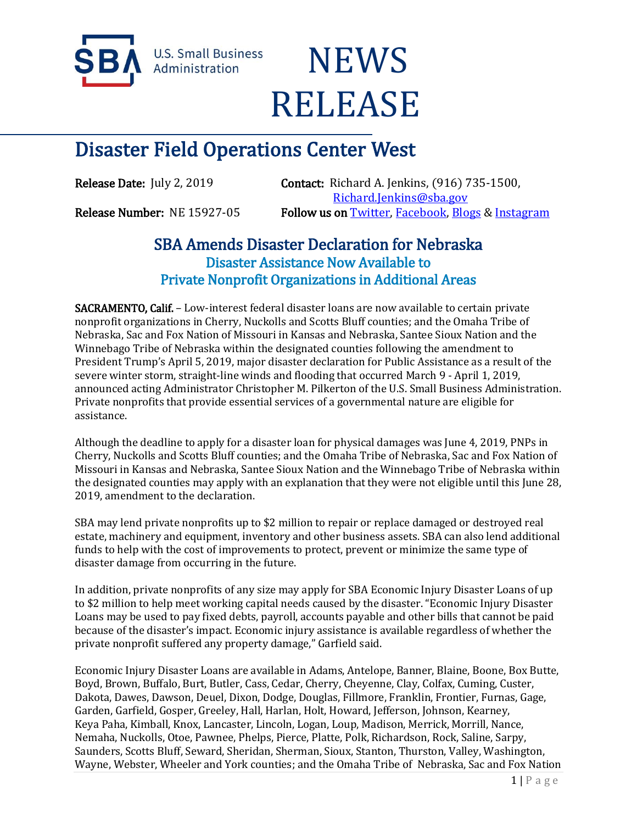

**U.S. Small Business** Administration

## **NEWS** RELEASE

## Disaster Field Operations Center West

Release Date: July 2, 2019 **Contact:** Richard A. Jenkins, (916) 735-1500, [Richard.Jenkins@sba.gov](mailto:Richard.Jenkins@sba.gov)  Release Number: NE 15927-05 Follow us o[n Twitter,](http://www.twitter.com/SBAgov) [Facebook,](http://www.facebook.com/sbagov) [Blogs](http://www.sba.gov/blogs) & Instagram

## SBA Amends Disaster Declaration for Nebraska Disaster Assistance Now Available to Private Nonprofit Organizations in Additional Areas

SACRAMENTO, Calif. – Low-interest federal disaster loans are now available to certain private nonprofit organizations in Cherry, Nuckolls and Scotts Bluff counties; and the Omaha Tribe of Nebraska, Sac and Fox Nation of Missouri in Kansas and Nebraska, Santee Sioux Nation and the Winnebago Tribe of Nebraska within the designated counties following the amendment to President Trump's April 5, 2019, major disaster declaration for Public Assistance as a result of the severe winter storm, straight-line winds and flooding that occurred March 9 - April 1, 2019, announced acting Administrator Christopher M. Pilkerton of the U.S. Small Business Administration. Private nonprofits that provide essential services of a governmental nature are eligible for assistance.

Although the deadline to apply for a disaster loan for physical damages was June 4, 2019, PNPs in Cherry, Nuckolls and Scotts Bluff counties; and the Omaha Tribe of Nebraska, Sac and Fox Nation of Missouri in Kansas and Nebraska, Santee Sioux Nation and the Winnebago Tribe of Nebraska within the designated counties may apply with an explanation that they were not eligible until this June 28, 2019, amendment to the declaration.

SBA may lend private nonprofits up to \$2 million to repair or replace damaged or destroyed real estate, machinery and equipment, inventory and other business assets. SBA can also lend additional funds to help with the cost of improvements to protect, prevent or minimize the same type of disaster damage from occurring in the future.

In addition, private nonprofits of any size may apply for SBA Economic Injury Disaster Loans of up to \$2 million to help meet working capital needs caused by the disaster. "Economic Injury Disaster Loans may be used to pay fixed debts, payroll, accounts payable and other bills that cannot be paid because of the disaster's impact. Economic injury assistance is available regardless of whether the private nonprofit suffered any property damage," Garfield said.

Economic Injury Disaster Loans are available in Adams, Antelope, Banner, Blaine, Boone, Box Butte, Boyd, Brown, Buffalo, Burt, Butler, Cass, Cedar, Cherry, Cheyenne, Clay, Colfax, Cuming, Custer, Dakota, Dawes, Dawson, Deuel, Dixon, Dodge, Douglas, Fillmore, Franklin, Frontier, Furnas, Gage, Garden, Garfield, Gosper, Greeley, Hall, Harlan, Holt, Howard, Jefferson, Johnson, Kearney, Keya Paha, Kimball, Knox, Lancaster, Lincoln, Logan, Loup, Madison, Merrick, Morrill, Nance, Nemaha, Nuckolls, Otoe, Pawnee, Phelps, Pierce, Platte, Polk, Richardson, Rock, Saline, Sarpy, Saunders, Scotts Bluff, Seward, Sheridan, Sherman, Sioux, Stanton, Thurston, Valley, Washington, Wayne, Webster, Wheeler and York counties; and the Omaha Tribe of Nebraska, Sac and Fox Nation